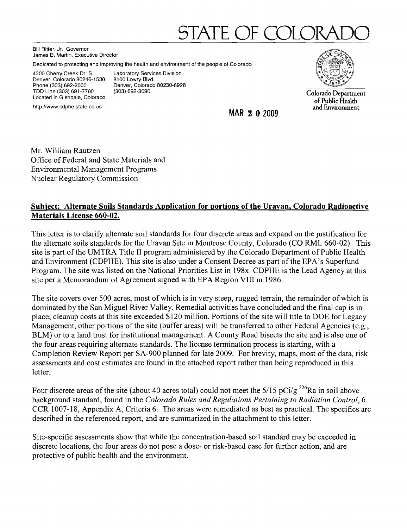# STATE OF COLO

Bill Ritter, Jr., Governor James B. Martin, Executive Director

Dedicated to protecting and improving the health and environment of the people of Colorado

4300 Cherry Creek Dr. S. Laboratory Services Division<br>Denver, Colorado 80246-1530 8100 Lowry Blvd. Denver, Colorado 80246-1530<br>Phone (303) 692-2000 Phone (303) 692-2000 Denver, Colorado 80230-6928 TDD Line (303) 691-7700 (303) 692-3090<br>Located in Glendale, Colorado



TDD Line (303) 691-7700 (303) 692-3090<br>Located in Glendale, Colorado (303) 692-3090<br>Located in Glendale, Colorado (1993-1990) (1993) of Public Health

http://www.cdphe.state.co.us and Environment and Environment and Environment and Environment and Environment and Environment

Mr. William Rautzen Office of Federal and State Materials and Environmental Management Programs Nuclear Regulatory Commission

# Subject: Alternate Soils Standards Application for portions of the Uravan, Colorado Radioactive Materials License 660-02.

This letter is to clarify alternate soil standards for four discrete areas and expand on the justification for the alternate soils standards for the Uravan Site inMontrose County, Colorado (CO RML 660-02). This site is part of the UMTRA Title II program administered by the Colorado Department of Public Health and Environment (CDPHE). This site is also under a Consent Decree as part of the EPA's Superfund Program. The site was listed on the National Priorities List in 198x. CDPHE is the Lead Agency at this site per a Memorandum of Agreement signed with EPA Region VIII in 1986.

The site covers over 500 acres, most of which is in very steep, rugged terrain, the remainder of which is dominated by the San Miguel River Valley. Remedial activities have concluded and the final cap is in place; cleanup costs at this site exceeded \$120 million. Portions of the site will title to DOE for Legacy Management, other portions of the site (buffer areas) will be transferred to other Federal Agencies (e.g., BLM) or to a land trust for institutional management. A County Road bisects the site and is also one of the four areas requiring alternate standards. The license tennination process is starting, with a Completion Review Report per SA-900 planned for late 2009. For brevity, maps, most of the data, risk assessments and cost estimates are found in the attached report rather than being reproduced in this letter.

Four discrete areas of the site (about 40 acres total) could not meet the  $5/15$  pCi/g <sup>226</sup>Ra in soil above background standard, found in the *Colorado Rules and Regulations Pertaining to Radiation Control, 6*  CCR 1007-18, Appendix A, Criteria 6. The areas were remediated as best as practical. The specifics are described in the referenced report, and are summarized in the attachment to this letter.

Site-specific assessments show that while the concentration-based soil standard may be exceeded in discrete locations, the four areas do not pose a dose- or risk-based case for further action, and are protective of public health and the environment.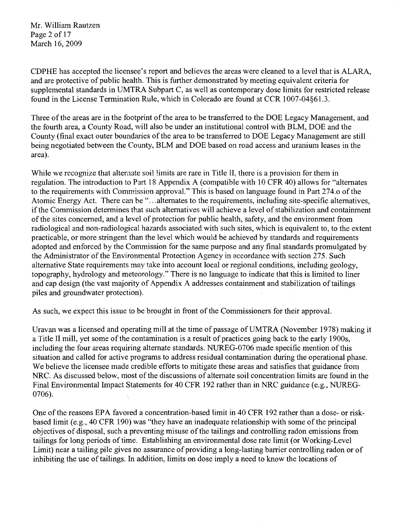Mr. William Rautzen Page 2 of 17 March 16, 2009

CDPHE has accepted the licensee's report and believes the areas were cleaned to a level that is ALARA, and are protective of public health. This is further demonstrated by meeting equivalent criteria for supplemental standards in UMTRA Subpart C, as well as contemporary dose limits for restricted release found in the License Termination Rule, which in Colorado are found at CCR 1007-04§61.3.

Three of the areas are in the footprint of the area to be transferred to the DOE Legacy Management, and the fourth area, a County Road, will also be under an institutional control with BLM, DOE and the County (final exact outer boundaries of the area to be transferred to DOE Legacy Management are still being negotiated between the County, BLM and DOE based on road access and uranium leases in the area).

While we recognize that altemate soil limits are rare in Title II, there is a provision for them in regulation. The introduction to Part 18 Appendix A (compatible with 10 CFR 40) allows for "alternates to the requirements with Commission approva1." This is based on language found in Part 274.0 of the Atomic Energy Act. There can be "...alternates to the requirements, including site-specific alternatives, if the Commission determines that such alternatives will achieve a level of stabilization and containment ofthe sites concerned, and a level of protection for public health, safety, and the environment from radiological and non-radiological hazards associated with such sites, which is equivalent to, to the extent practicable, or more stringent than the level which would be achieved by standards and requirements adopted and enforced by the Commission for the same purpose and any final standards promulgated by the Administrator of the Environmental Protection Agency in accordance with section 275. Such alternative State requirements may take into account local or regional conditions, including geology, topography, hydrology and meteorology." There is no language to indicate that this is limited to liner and cap design (the vast majority of Appendix A addresses containment and stabilization of tailings piles and groundwater protection).

As such, we expect this issue to be brought in front of the Commissioners for their approva1.

Uravan was a licensed and operating mill at the time of passage ofUMTRA (November 1978) making it a Title II mill, yet some of the contamination is a result of practices going back to the early 1900s, including the four areas requiring alternate standards. NUREG-0706 made specific mention of this situation and called for active programs to address residual contamination during the operational phase. We believe the licensee made credible efforts to mitigate these areas and satisfies that guidance from. NRC. As discussed below, most of the discussions of alternate soil concentration limits are found in the Final Environmental Impact Statements for 40 CFR 192 rather than in NRC guidance (e.g., NUREG-0706).

One of the reasons EPA favored a concentration-based limit in 40 CFR 192 rather than a dose- or riskbased limit (e.g., 40 CFR 190) was "they have an inadequate relationship with some of the principal objectives of disposal, such a preventing misuse of the tailings and controlling radon emissions from tailings for long periods of time. Establishing an environmental dose rate limit (or Working-Level Limit) near a tailing pile gives no assurance of providing a long-lasting barrier controlling radon or of inhibiting the use of tailings. In addition, limits on dose imply a need to know the locations of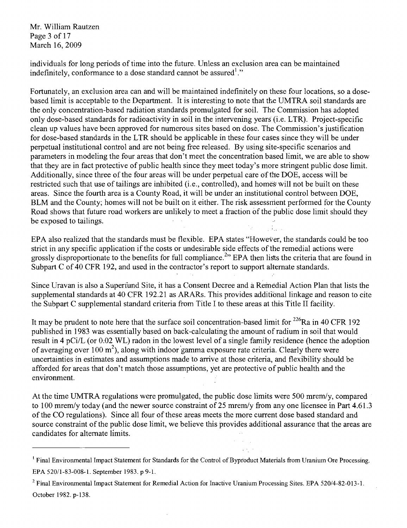Mr. William Rautzen Page 3 of 17 March 16, 2009

individuals for long periods of time into the future. Unless an exclusion area can be maintained indefinitely, conformance to a dose standard cannot be assured<sup>1</sup>."

Fortunately, an exclusion area can and will be maintained indefinitely on these four locations, so a dosebased limit is acceptable to the Department. It is interesting to note that the UMTRA soil standards are the only concentration-based radiation standards promulgated for soil. The Commission has adopted only dose-based standards for radioactivity in soil in the intervening years' (i.e. LTR). Project-specific clean up values have been approved for numerous sites based on dose. The Commission's justification for dose-based standards in the LTR should be applicable in these four cases since they will be under perpetual institutional control and are not being free released. By using site-specific scenarios and parameters in modeling the four areas that don't meet the concentration based limit, we are able to show that they are in fact protective of public health since they meet today's more stringent public dose limit. Additionally, since three of the four areas will be under perpetual care of the DOE, access will be restricted such that use of tailings are inhibited (i.e., controlled), and homes will not be built on these areas. Since the fourth area is a County Road, it will be under an institutional control between DOE, BLM and the County; homes will not be built on it either. The risk assessment performed for the County Road shows that future road workers are unlikely to meet a fraction of the public dose limit should they be exposed to tailings.  $\mathbb{R}^n$  is the exposed to tailings.

EPA also realized that the standards must be flexible. EPA states "However, the standards could be too strict in any specific application if the costs or undesirable side effects of the remedial actions were grossly disproportionate to the benefits for full compliance.<sup>2</sup>" EPA then lists the criteria that are found in Subpart C of 40 CFR 192, and used in the contractor's report to support alternate standards.

Since Uravan is also a Superfund Site, it has a Consent Decree and a Remedial Action Plan that lists the supplemental standards at 40 CFR 192.21 as ARARs. This provides additional linkage and reason to cite the Subpart C supplemental standard criteria from Title I to these areas at this Title II facility.

It may be prudent to note here that the surface soil concentration-based limit for  $^{226}$ Ra in 40 CFR 192 published in 1983 was essentially based on back-calculating the amount of radium in soil that would result in 4 pCi/L (or 0;02 WL) radon in the lowest level of a single family residence (hence the adoption of averaging over 100 m<sup>2</sup>), along with indoor gamma exposure rate criteria. Clearly there were uncertainties in estimates and assumptions made to arrive at those criteria, and flexibility should be afforded for areas that don't match those assumptions, yet are protective of public health and the environment.

At the time UMTRA regulations were promulgated, the public dose limits were 500 mrem/y, compared to 100 mrem/y today (and the newer source constraint of 25 mrem/y from any one licensee in Part 4.61.3 ofthe CO regulations). Since all four of these areas meets the more current dose based standard and source constraint of the public dose limit, we believe this provides additional assurance that the areas are candidates for alternate limits.

<sup>&</sup>lt;sup>1</sup> Final Environmental Impact Statement for Standards for the Control of Byproduct Materials from Uranium Ore Processing. EPA *52011-83-008-1.* September 1983. p 9-1.

<sup>&</sup>lt;sup>2</sup> Final Environmental Impact Statement for Remedial Action for Inactive Uranium Processing Sites. EPA 520/4-82-013-1. October 1982. p-138.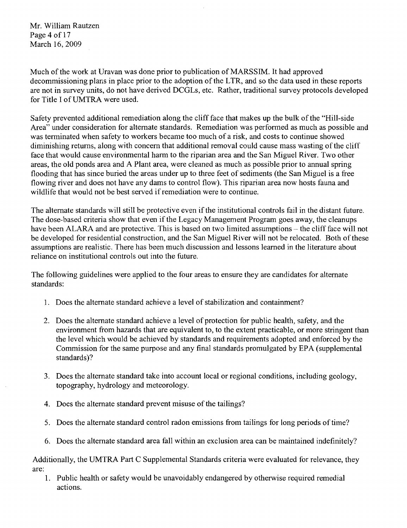Mr. William Rautzen Page 4 of 17 March 16, 2009

Much of the work at Uravan was done prior to publication of MARSSIM. It had approved decommissioning plans in place prior to the adoption of the LTR, and so the data used in these reports are not in survey units, do not have derived DCGLs, etc. Rather, traditional survey protocols developed for Title I ofUMTRA were used.

Safety prevented additional remediation along the cliff face that makes up the bulk of the "Hill-side" Area" under consideration for alternate standards. Remediation was performed as much as possible and was terminated when safety to workers became too much of a risk, and costs to continue showed diminishing returns, along with concern that additional removal could cause mass wasting of the cliff face that would cause environmental harm to the riparian area and the San Miguel River. Two other areas, the old ponds area and A Plant area, were cleaned as much as possible prior to annual spring flooding that has since buried the areas under up to three feet of sediments (the San Miguel is a free flowing river and does not have any dams to control flow). This riparian area now hosts fauna and wildlife that would not be best served if remediation were to continue.

The alternate standards will still be protective even if the institutional controls fail in the distant future. The dose-based criteria show that even if the Legacy Management Program goes away, the cleanups have been ALARA and are protective. This is based on two limited assumptions – the cliff face will not be developed for residential construction, and the San Miguel River will not be relocated. Both of these assumptions are realistic. There has been much discussion and lessons learned in the literature about reliance on institutional controls out into the future.

The following guidelines were applied to the four areas to ensure they are candidates for alternate standards:

- 1. Does the alternate standard achieve a level of stabilization and containment?
- 2. Does the alternate standard achieve a level of protection for public health, safety, and the environment from hazards that are equivalent to, to the extent practicable, or more stringent than the level which would be achieved by standards and requirements adopted and enforced by the Commission for the same purpose and any final standards promulgated by EPA (supplemental standards)?
- 3. Does the alternate standard take into account local or regional conditions, including geology, topography, hydrology and meteorology.
- 4. Does the alternate standard prevent misuse of the tailings?
- 5. Does the alternate standard control radon emissions from tailings for long periods of time?
- 6. Does the alternate standard area fall within an exclusion area can be maintained indefinitely?

Additionally, the UMTRA Part C Supplemental Standards criteria were evaluated for relevance, they are:

1. Public health or safety would be unavoidably endangered by otherwise required remedial actions.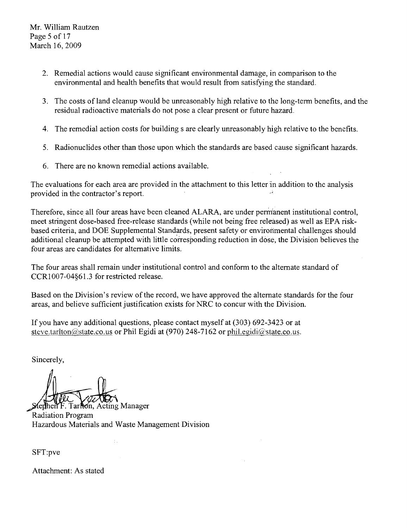- 2. Remedial actions would cause significant environmental damage, in comparison to the environmental and health benefits that would result from satisfying the standard.
- 3. The costs of land cleanup would be unreasonably high relative to the long-term benefits, and the residual radioactive materials do not pose a clear present or future hazard.
- 4. The remedial action costs for building s are clearly unreasonably high relative to the benefits.
- 5. Radionuclides other than those upon which the standards are based cause significant hazards.
- 6. There are no known remedial actions available.

The evaluations for each area are provided in the attachment to this letter in addition to the analysis provided in the contractor's report.

Therefore, since all four areas have been cleaned ALARA, are under permanent institutional control, meet stringent dose-based free-release standards (while not being free released) as well as EPA riskbased criteria, and DOE Supplemental Standards, present safety or environmental challenges should additional cleanup be attempted with little corresponding reduction in dose, the Division believes the four areas are candidates for alternative limits.

The four areas shall remain under institutional control and conform to the alternate standard of CCR1007-04§61.3 for restricted release.

Based on the Division's review of the record, we have approved the alternate standards for the four areas, and believe sufficient justification exists for NRC to concur with the Division.

If you have any additional questions, please contact myself at (303) 692-3423 or at steve.tarlton@state.co.us or Phil Egidi at (970) 248-7162 or phil.egidi@state.co.us.

Sincerely,

ferthen F. Tarfton, Acting Manager Radiation Program Hazardous Materials and Waste Management Division

SFT:pve

Attachment: As stated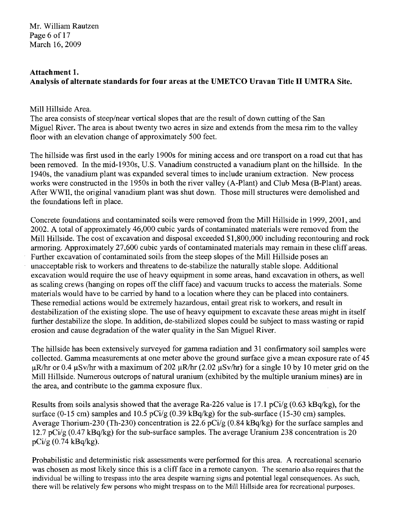Mr. William Rautzen Page 6 of 17 March 16, 2009

# Attachment 1. Analysis of alternate standards for four areas at the UMETCO Uravan Title II UMTRA Site.

## Mill Hillside Area.

The area consists of steep/near vertical slopes that are the result of down cutting of the San Miguel River. The area is about twenty two acres in size and extends from the mesa rim to the valley floor with an elevation change of approximately 500 feet.

The hillside was first used in the early 1900s for mining access and ore transport on a road cut that has been removed. In the mid-1930s, U.S. Vanadium constructed a vanadium plant on the hillside. In the 1940s, the vanadium plant was expanded several times to include uranium extraction. New process works were constructed in the 1950s in both the river valley (A-Plant) and Club Mesa (B-Plant) areas. After WWII, the original vanadium plant was shut down. Those mill structures were demolished and the foundations left in place.

Concrete foundations and contaminated soils were removed from the Mill Hillside in 1999,2001, and 2002. A total of approximately 46,000 cubic yards of contaminated materials were removed from the Mill Hillside. The cost of excavation and disposal exceeded \$1,800,000 including recontouring and rock armoring. Approximately 27,600 cubic yards of contaminated materials may remain in these cliff areas. Further excavation of contaminated soils from the steep slopes of the Mill Hillside poses an unacceptable risk to workers and threatens to de-stabilize the naturally stable slope. Additional excavation would require the use of heavy equipment in some areas, hand excavation in others, as well as scaling crews (hanging on ropes off the cliff face) and vacuum trucks to access the materials. Some materials would have to be carried by hand to a location where they can be placed into containers. These remedial actions would be extremely hazardous, entail great risk to workers, and result in destabilization of the existing slope. The use of heavy equipment to excavate these areas might in itself further destabilize the slope. In addition, de-stabilized slopes could be subject to mass wasting or rapid erosion and cause degradation of the water quality in the San Miguel River.

The hillside has been extensively surveyed for gamma radiation and 31 confirmatory soil samples were collected. Gamma measurements at one meter above the ground surface give a mean exposure rate of 45  $\mu$ R/hr or 0.4  $\mu$ Sv/hr with a maximum of 202  $\mu$ R/hr (2.02  $\mu$ Sv/hr) for a single 10 by 10 meter grid on the Mill Hillside. Numerous outcrops of natural uranium (exhibited by the multiple uranium mines) are in the area, and contribute to the gamma exposure flux.

Results from soils analysis showed that the average Ra-226 value is 17.1 pCi/g (0.63 kBq/kg), for the surface (0-15 cm) samples and 10.5 pCi/g (0.39 kBq/kg) for the sub-surface (15-30 cm) samples. Average Thorium-230 (Th-230) concentration is 22.6 pCi/g (0.84 kBq/kg) for the surface samples and 12.7 pCi/g (0.47 kBq/kg) for the sub-surface samples. The average Uranium 238 concentration is 20 pCi/g (0.74 kBq/kg).

Probabilistic and deterministic risk assessments were performed for this area. A recreational scenario was chosen as most likely since this is a cliff face in a remote canyon. The scenario also requires that the individual be willing to trespass into the area despite warning signs and potential legal consequences. As such, there will be relatively few persons who might trespass on to the Mill Hillside area for recreational purposes.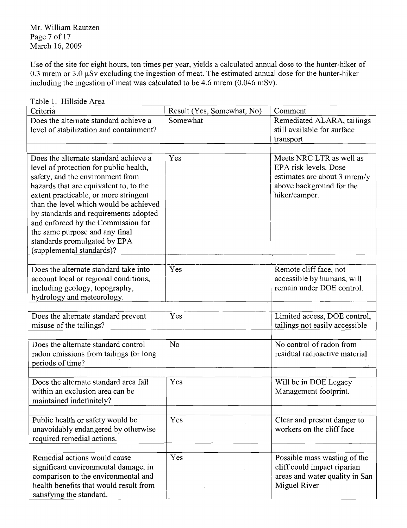Mr. William Rautzen Page 7 of 17 March 16,2009

Use of the site for eight hours, ten times per year, yields a calculated annual dose to the hunter-hiker of 0.3 mrem or  $3.0 \mu Sv$  excluding the ingestion of meat. The estimated annual dose for the hunter-hiker including the ingestion of meat was calculated to be 4.6 mrem  $(0.046 \text{ mSv})$ .

| Criteria                                                                    | Result (Yes, Somewhat, No) | Comment                        |
|-----------------------------------------------------------------------------|----------------------------|--------------------------------|
| Does the alternate standard achieve a                                       | Somewhat                   | Remediated ALARA, tailings     |
| level of stabilization and containment?                                     |                            | still available for surface    |
|                                                                             |                            | transport                      |
|                                                                             |                            |                                |
| Does the alternate standard achieve a                                       | Yes                        | Meets NRC LTR as well as       |
| level of protection for public health,                                      |                            | EPA risk levels. Dose          |
| safety, and the environment from                                            |                            | estimates are about 3 mrem/y   |
| hazards that are equivalent to, to the                                      |                            | above background for the       |
| extent practicable, or more stringent                                       |                            | hiker/camper.                  |
| than the level which would be achieved                                      |                            |                                |
| by standards and requirements adopted<br>and enforced by the Commission for |                            |                                |
| the same purpose and any final                                              |                            |                                |
| standards promulgated by EPA                                                |                            |                                |
| (supplemental standards)?                                                   |                            |                                |
|                                                                             |                            |                                |
| Does the alternate standard take into                                       | Yes                        | Remote cliff face, not         |
| account local or regional conditions,                                       |                            | accessible by humans, will     |
| including geology, topography,                                              |                            | remain under DOE control.      |
| hydrology and meteorology.                                                  |                            |                                |
|                                                                             |                            |                                |
| Does the alternate standard prevent                                         | Yes                        | Limited access, DOE control,   |
| misuse of the tailings?                                                     |                            | tailings not easily accessible |
|                                                                             |                            |                                |
| Does the alternate standard control                                         | No                         | No control of radon from       |
| radon emissions from tailings for long                                      |                            | residual radioactive material  |
| periods of time?                                                            |                            |                                |
| Does the alternate standard area fall                                       | Yes                        | Will be in DOE Legacy          |
| within an exclusion area can be                                             |                            | Management footprint.          |
| maintained indefinitely?                                                    |                            |                                |
|                                                                             |                            |                                |
| Public health or safety would be                                            | Yes                        | Clear and present danger to    |
| unavoidably endangered by otherwise                                         |                            | workers on the cliff face      |
| required remedial actions.                                                  |                            |                                |
|                                                                             |                            |                                |
| Remedial actions would cause                                                | Yes                        | Possible mass wasting of the   |

significant environmental damage, in cliff could impact riparian comparison to the environmental and <br>areas and water quality in San

health benefits that would result from  $\parallel$  Miguel River

Table 1. Hillside Area

satisfying the standard.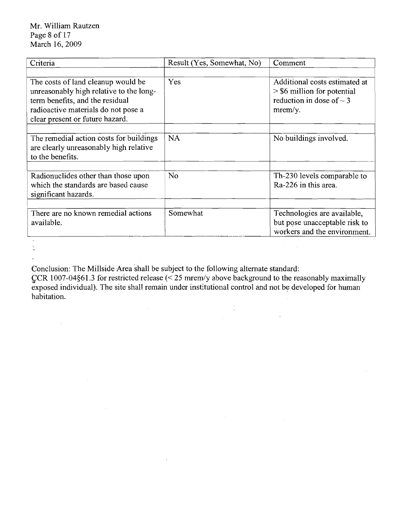| Criteria                                                                      | Result (Yes, Somewhat, No) | Comment                                                        |
|-------------------------------------------------------------------------------|----------------------------|----------------------------------------------------------------|
|                                                                               |                            |                                                                |
| The costs of land cleanup would be<br>unreasonably high relative to the long- | Yes                        | Additional costs estimated at<br>$>$ \$6 million for potential |
| term benefits, and the residual                                               |                            | reduction in dose of $\sim$ 3                                  |
| radioactive materials do not pose a                                           |                            | $merm/y$ .                                                     |
| clear present or future hazard.                                               |                            |                                                                |
|                                                                               |                            |                                                                |
| The remedial action costs for buildings                                       | <b>NA</b>                  | No buildings involved.                                         |
| are clearly unreasonably high relative<br>to the benefits.                    |                            |                                                                |
|                                                                               |                            |                                                                |
| Radionuclides other than those upon                                           | N <sub>o</sub>             | Th-230 levels comparable to                                    |
| which the standards are based cause                                           |                            | Ra-226 in this area.                                           |
| significant hazards.                                                          |                            |                                                                |
|                                                                               |                            |                                                                |
| There are no known remedial actions                                           | Somewhat                   | Technologies are available,                                    |
| available.                                                                    |                            | but pose unacceptable risk to                                  |
|                                                                               |                            | workers and the environment.                                   |

 $\bar{\nu}$  $\ddot{\mathbb{I}}$ ÷.

 $\hat{\mathcal{A}}$ 

 $\mathcal{A}^{\mathcal{A}}$ 

Conclusion: The Millside Area shall be subject to the following alternate standard:

 $\bar{\mathbf{z}}$ 

 $\mathcal{L}_{\mathrm{max}}$ 

 $~CCR$  1007-04§61.3 for restricted release (< 25 mrem/y above background to the reasonably maximally exposed individual). The site shall remain under institutional control and not be developed for human habitation.

 $\frac{1}{4}$ 

 $\mathcal{A}(\mathcal{A})$  and  $\mathcal{A}(\mathcal{A})$ 

 $\mathcal{A}^{\mathcal{A}}$ 

 $\sim 10^7$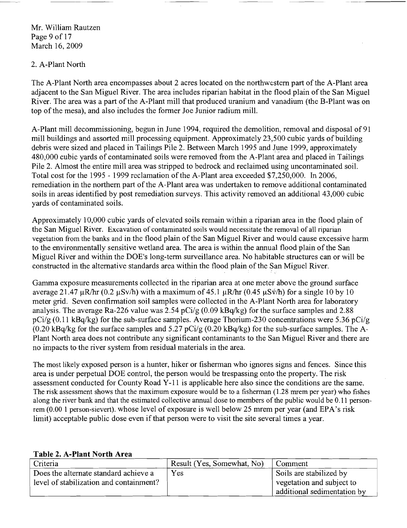Mr. William Rautzen Page 9 of 17 March 16,2009

## 2. A-Plant North

The A-Plant North area encompasses about 2 acres located on the northwestern part ofthe A-Plant area adjacent to the San Miguel River. The area includes riparian habitat in the flood plain ofthe San Miguel River. The area was a part of the A-Plant mill that produced uranium and vanadium (the B-Plant was on top of the mesa), and also includes the former Joe Junior radium mill.

A-Plant mill decommissioning, begun in June 1994, required the demolition, removal and disposal of 91 mill buildings and assorted mill processing equipment. Approximately 23,500 cubic yards of building debris were sized and placed in Tailings Pile 2. Between March 1995 and June 1999, approximately 480,000 cubic yards of contaminated soils were removed from the A-Plant area and placed in Tailings Pile 2. Almost the entire mill area was stripped to bedrock and reclaimed using uncontaminated soil. Total cost for the 1995 - 1999 reclamation of the A-Plant area exceeded \$7,250,000. In 2006, remediation in the northern part of the A-Plant area was undertaken to remove additional contaminated soils in areas identified by post remediation surveys. This activity removed'an additional 43,000 cubic yards of contaminated soils.

Approximately 10,000 cubic yards of elevated soils remain within a riparian area in the flood plain of the San Miguel River. Excavation of contaminated soils would necessitate the removal of all riparian vegetation from the banks and in the flood plain of the San Miguel River and would cause excessive harm to the environmentally sensitive wetland area. The area is within the annual flood plain ofthe San Miguel River and within the DOE's long-term surveillance area. No habitable structures can or will be constructed in the alternative standards area within the flood plain of the San Miguel River.

Gamma exposure measurements collected in the riparian area at one meter above the ground surface average 21.47  $\mu$ R/hr (0.2  $\mu$ Sv/h) with a maximum of 45.1  $\mu$ R/hr (0.45  $\mu$ Sv/h) for a single 10 by 10 meter grid. Seven confirmation soil samples were collected in the A-Plant North area for laboratory analysis. The average Ra-226 value was 2.54 pCi/g (0.09 kBq/kg) for the surface samples and 2.88  $pCi/g (0.11 kBq/kg)$  for the sub-surface samples. Average Thorium-230 concentrations were 5.36  $pCi/g$  $(0.20 \text{ kBa/kg}$  for the surface samples and  $5.27 \text{ pCi/g}$   $(0.20 \text{ kBa/kg})$  for the sub-surface samples. The A-Plant North area does not contribute any significant contaminants to the San Miguel River and there are no impacts to the river system from residual materials in the area.

The most likely exposed person is a hunter, hiker or fisherman who ignores signs and fences. Since this area is under perpetual DOE control, the person would be trespassing onto the property. The risk assessment conducted for County Road Y-11 is applicable here also since the conditions are the same. The risk assessment shows that the maximum exposure would be to a fisherman  $(1.28$  mrem per year) who fishes along the river bank and that the estimated collective annual dose to members of the public would be 0.11 personrem (0.00 1 person-sievert). whose level of exposure is well below 25 mrem per year (and EPA's risk limit) acceptable public dose even if that person were to visit the site several times a year.

| Criteria                                | Result (Yes, Somewhat, No) | Comment                     |
|-----------------------------------------|----------------------------|-----------------------------|
| Does the alternate standard achieve a   | Yes                        | Soils are stabilized by     |
| level of stabilization and containment? |                            | vegetation and subject to   |
|                                         |                            | additional sedimentation by |

#### **Table 2. A-Plant North Area**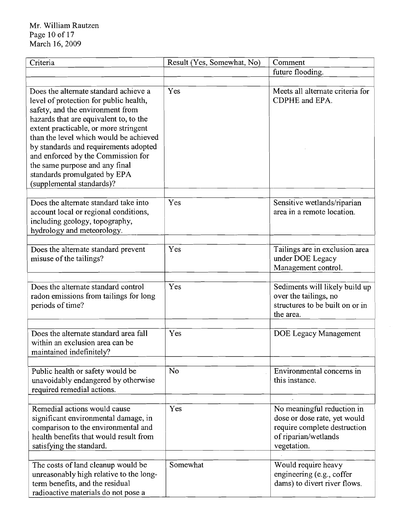| Criteria                                                                                                                                                                                                                                                                                                                                                                                                                       | Result (Yes, Somewhat, No) | Comment                                                                                                                           |
|--------------------------------------------------------------------------------------------------------------------------------------------------------------------------------------------------------------------------------------------------------------------------------------------------------------------------------------------------------------------------------------------------------------------------------|----------------------------|-----------------------------------------------------------------------------------------------------------------------------------|
|                                                                                                                                                                                                                                                                                                                                                                                                                                |                            | future flooding.                                                                                                                  |
|                                                                                                                                                                                                                                                                                                                                                                                                                                |                            |                                                                                                                                   |
| Does the alternate standard achieve a<br>level of protection for public health,<br>safety, and the environment from<br>hazards that are equivalent to, to the<br>extent practicable, or more stringent<br>than the level which would be achieved<br>by standards and requirements adopted<br>and enforced by the Commission for<br>the same purpose and any final<br>standards promulgated by EPA<br>(supplemental standards)? | Yes                        | Meets all alternate criteria for<br>CDPHE and EPA.                                                                                |
| Does the alternate standard take into<br>account local or regional conditions,<br>including geology, topography,<br>hydrology and meteorology.                                                                                                                                                                                                                                                                                 | Yes                        | Sensitive wetlands/riparian<br>area in a remote location.                                                                         |
| Does the alternate standard prevent<br>misuse of the tailings?                                                                                                                                                                                                                                                                                                                                                                 | Yes                        | Tailings are in exclusion area<br>under DOE Legacy<br>Management control.                                                         |
| Does the alternate standard control<br>radon emissions from tailings for long<br>periods of time?                                                                                                                                                                                                                                                                                                                              | Yes                        | Sediments will likely build up<br>over the tailings, no<br>structures to be built on or in<br>the area.                           |
| Does the alternate standard area fall<br>within an exclusion area can be<br>maintained indefinitely?                                                                                                                                                                                                                                                                                                                           | Yes                        | DOE Legacy Management                                                                                                             |
| Public health or safety would be<br>unavoidably endangered by otherwise<br>required remedial actions.                                                                                                                                                                                                                                                                                                                          | N <sub>o</sub>             | Environmental concerns in<br>this instance.                                                                                       |
| Remedial actions would cause<br>significant environmental damage, in<br>comparison to the environmental and<br>health benefits that would result from<br>satisfying the standard.                                                                                                                                                                                                                                              | Yes                        | No meaningful reduction in<br>dose or dose rate, yet would<br>require complete destruction<br>of riparian/wetlands<br>vegetation. |
| The costs of land cleanup would be<br>unreasonably high relative to the long-<br>term benefits, and the residual<br>radioactive materials do not pose a                                                                                                                                                                                                                                                                        | Somewhat                   | Would require heavy<br>engineering (e.g., coffer<br>dams) to divert river flows.                                                  |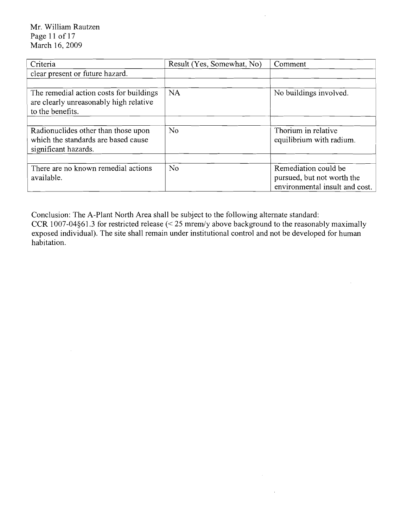Mr. William Rautzen Page 11 of 17 March 16, 2009

 $\sim 10^{-1}$ 

| Criteria                                                                                              | Result (Yes, Somewhat, No) | Comment                                                                              |
|-------------------------------------------------------------------------------------------------------|----------------------------|--------------------------------------------------------------------------------------|
| clear present or future hazard.                                                                       |                            |                                                                                      |
|                                                                                                       |                            |                                                                                      |
| The remedial action costs for buildings<br>are clearly unreasonably high relative<br>to the benefits. | <b>NA</b>                  | No buildings involved.                                                               |
|                                                                                                       |                            |                                                                                      |
| Radionuclides other than those upon<br>which the standards are based cause<br>significant hazards.    | No.                        | Thorium in relative<br>equilibrium with radium.                                      |
|                                                                                                       |                            |                                                                                      |
| There are no known remedial actions<br>available.                                                     | No                         | Remediation could be<br>pursued, but not worth the<br>environmental insult and cost. |

 $\bar{A}$ 

 $\sim$ 

 $\mathcal{A}$ 

Conclusion: The A-Plant North Area shall be subject to the following alternate standard: CCR 1007-04§61.3 for restricted release  $\approx$  25 mrem/y above background to the reasonably maximally exposed individual). The site shall remain under institutional control and not be developed for human habitation.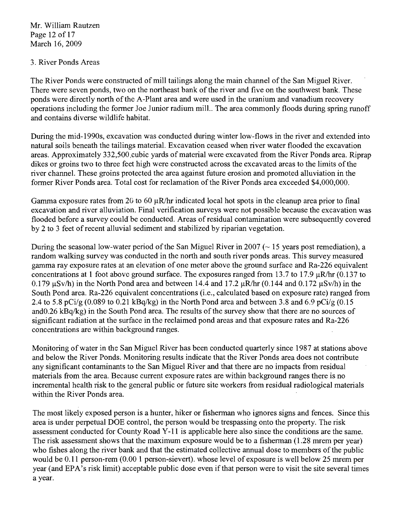Mr. William Rautzen Page 12 of 17 March 16, 2009

## 3. River Ponds Areas

The River Ponds were constructed of mill tailings along the main channel of the San Miguel River. There were seven ponds, two on the northeast bank of the river and five on the southwest bank. These ponds were directly north of the A-Plant area and were used in the uranium and vanadium recovery operations including the former Joe Junior radium mill.. The area commonly floods during spring runoff and contains diverse wildlife habitat.

During the mid-1990s, excavation was conducted during winter low-flows in the river and extended into natural soils beneath the tailings material. Excavation ceased when river water flooded the excavation areas. Approximately 332,500 cubic yards of material were excavated from the River Ponds area. Riprap dikes or groins two to three feet high were constructed across the excavated areas to the limits of the river channel. These groins protected the area against future erosion and promoted alluviation in the former River Ponds area. Total cost for reclamation of the River Ponds area exceeded \$4,000,000.

Gamma exposure rates from 20 to 60  $\mu$ R/hr indicated local hot spots in the cleanup area prior to final excavation and river alluviation. Final verification surveys were not possible because the excavation was flooded before a survey could be conducted. Areas of residual contamination were subsequently covered by 2 to 3 feet ofrecent alluvial sediment and stabilized by riparian vegetation.

During the seasonal low-water period of the San Miguel River in 2007 ( $\sim$  15 years post remediation), a random walking survey was conducted in the north and south river ponds areas. This survey measured gamma ray exposure rates at an elevation of one meter above the ground surface and Ra-226 equivalent concentrations at 1 foot above ground surface. The exposures ranged from 13.7 to 17.9  $\mu$ R/hr (0.137 to 0.179  $\mu$ Sv/h) in the North Pond area and between 14.4 and 17.2  $\mu$ R/hr (0.144 and 0.172  $\mu$ Sv/h) in the South Pond area. Ra-226 equivalent concentrations (i.e., calculated based on exposure rate) ranged from 2.4 to 5.8 pCi/g  $(0.089 \text{ to } 0.21 \text{ kBa/kg})$  in the North Pond area and between 3.8 and 6.9 pCi/g  $(0.15$ andO.26 kBq/kg) in the South Pond area. The results of the survey show that there are no sources of significant radiation at the surface in the reclaimed pond areas and that exposure rates and Ra-226 concentrations are within background ranges.

Monitoring ofwater in the San Miguel River has been conducted quarterly since 1987 at stations above and below the River Ponds. Monitoring results indicate that the River Ponds area does not contribute any significant contaminants to the San Miguel River and that there are no impacts from residual materials from the area. Because current exposure rates are within background ranges there is no incremental health risk to the general public or future site workers from residual radiological materials within the River Ponds area.

The most likely exposed person is a hunter, hiker or fisherman who ignores signs and fences. Since this area is under perpetual DOE control, the person would be trespassing onto the property. The risk assessment conducted for County Road Y-11 is applicable here also since the conditions are the same. The risk assessment shows that the maximum exposure would be to a fisherman (1.28 mrem per year) who fishes along the river bank and that the estimated collective annual dose to members of the public would be 0.11 person-rem (0.00 1 person-sievert). whose level of exposure is well below 25 mrem per year (and EPA's risk limit) acceptable public dose even if that person were to visit the site several times a year.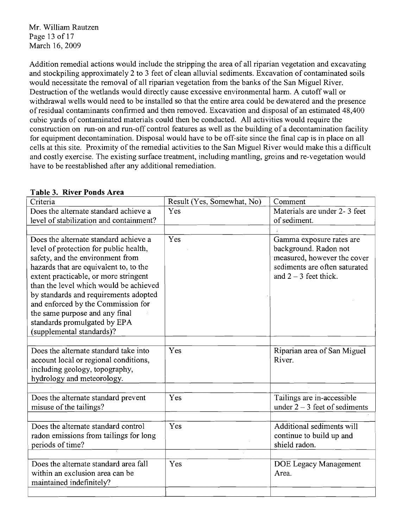Mr. William Rautzen Page 13 of 17 March 16, 2009

Addition remedial actions would include the stripping the area of all riparian vegetation and excavating and stockpiling approximately 2 to 3 feet of clean alluvial sediments. Excavation of contaminated soils would necessitate the removal of all riparian vegetation from the banks of the San Miguel River. Destruction of the wetlands would directly cause excessive environmental harm. A cutoff wall or withdrawal wells would need to be installed so that the entire area could be dewatered and the presence ofresidual contaminants confirmed and then removed. Excavation and disposal of an estimated 48,400 cubic yards of contaminated materials could then be conducted. All activities would require the construction on run-on and run-off control features as well as the building of a decontamination facility for equipment decontamination. Disposal would have to be off-site since the final cap is in place on all cells at this site. Proximity of the remedial activities to the San Miguel River would make this a difficult and costly exercise. The existing surface treatment, including mantling, groins and re-vegetation would have to be reestablished after any additional remediation.

| Criteria                                                                        | Result (Yes, Somewhat, No) | Comment                                           |
|---------------------------------------------------------------------------------|----------------------------|---------------------------------------------------|
| Does the alternate standard achieve a                                           | Yes                        | Materials are under 2-3 feet                      |
|                                                                                 |                            | of sediment.                                      |
| level of stabilization and containment?                                         |                            |                                                   |
|                                                                                 |                            |                                                   |
| Does the alternate standard achieve a<br>level of protection for public health, | Yes                        | Gamma exposure rates are<br>background. Radon not |
| safety, and the environment from                                                |                            | measured, however the cover                       |
| hazards that are equivalent to, to the                                          |                            | sediments are often saturated                     |
| extent practicable, or more stringent                                           |                            | and $2 - 3$ feet thick.                           |
| than the level which would be achieved<br>by standards and requirements adopted |                            |                                                   |
| and enforced by the Commission for                                              |                            |                                                   |
| the same purpose and any final                                                  |                            |                                                   |
| standards promulgated by EPA                                                    |                            |                                                   |
| (supplemental standards)?                                                       |                            |                                                   |
|                                                                                 |                            |                                                   |
| Does the alternate standard take into<br>account local or regional conditions,  | Yes                        | Riparian area of San Miguel<br>River.             |
| including geology, topography,                                                  |                            |                                                   |
| hydrology and meteorology.                                                      |                            |                                                   |
|                                                                                 |                            |                                                   |
| Does the alternate standard prevent                                             | Yes                        | Tailings are in-accessible                        |
| misuse of the tailings?                                                         |                            | under $2 - 3$ feet of sediments                   |
| Does the alternate standard control                                             | Yes                        | Additional sediments will                         |
|                                                                                 |                            | continue to build up and                          |
| radon emissions from tailings for long<br>periods of time?                      |                            | shield radon.                                     |
|                                                                                 |                            |                                                   |
| Does the alternate standard area fall                                           | Yes                        | DOE Legacy Management                             |
| within an exclusion area can be                                                 |                            | Area.                                             |
| maintained indefinitely?                                                        |                            |                                                   |
|                                                                                 |                            |                                                   |
|                                                                                 |                            |                                                   |

### **Table 3. River Ponds Area**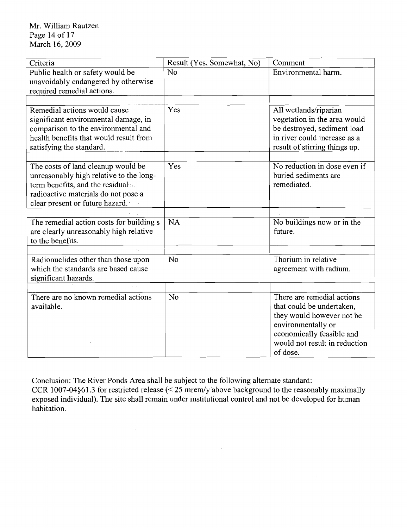| Criteria                                                                                                                                                                                   | Result (Yes, Somewhat, No)  | Comment                                                                                                                                                                              |
|--------------------------------------------------------------------------------------------------------------------------------------------------------------------------------------------|-----------------------------|--------------------------------------------------------------------------------------------------------------------------------------------------------------------------------------|
| Public health or safety would be<br>unavoidably endangered by otherwise<br>required remedial actions.                                                                                      | N <sub>o</sub>              | Environmental harm.                                                                                                                                                                  |
|                                                                                                                                                                                            |                             |                                                                                                                                                                                      |
| Remedial actions would cause<br>significant environmental damage, in<br>comparison to the environmental and<br>health benefits that would result from<br>satisfying the standard.          | Yes                         | All wetlands/riparian<br>vegetation in the area would<br>be destroyed, sediment load<br>in river could increase as a<br>result of stirring things up.                                |
|                                                                                                                                                                                            |                             |                                                                                                                                                                                      |
| The costs of land cleanup would be<br>unreasonably high relative to the long-<br>term benefits, and the residual<br>radioactive materials do not pose a<br>clear present or future hazard. | Yes                         | No reduction in dose even if<br>buried sediments are<br>remediated.                                                                                                                  |
|                                                                                                                                                                                            |                             |                                                                                                                                                                                      |
| The remedial action costs for building s<br>are clearly unreasonably high relative<br>to the benefits.                                                                                     | <b>NA</b>                   | No buildings now or in the<br>future.                                                                                                                                                |
|                                                                                                                                                                                            |                             |                                                                                                                                                                                      |
| Radionuclides other than those upon<br>which the standards are based cause<br>significant hazards.                                                                                         | No                          | Thorium in relative<br>agreement with radium.                                                                                                                                        |
| $\sqrt{2}$                                                                                                                                                                                 |                             |                                                                                                                                                                                      |
| There are no known remedial actions<br>available.                                                                                                                                          | No<br>$\hat{\mathcal{A}}$ , | There are remedial actions<br>that could be undertaken,<br>they would however not be<br>environmentally or<br>economically feasible and<br>would not result in reduction<br>of dose. |

Conclusion: The River Ponds Area shall be subject to the following alternate standard: CCR 1007-04§61.3 for restricted release  $\approx$  25 mrem/y above background to the reasonably maximally exposed individual). The site shall remain under institutional control and not be developed for human habitation.

 $\sim 40\,$  km  $^{-1}$ 

 $\sim 10^7$ 

 $\sim 10^{-1}$ 

 $\mathcal{A}_{\mathcal{A}}$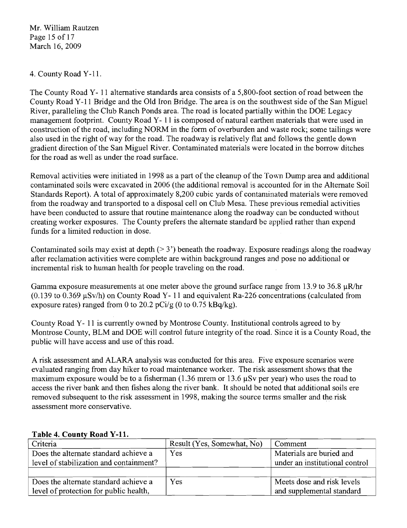Mr. William Rautzen Page 15 of 17 March 16, 2009

## 4. County Road Y-11.

The County Road Y- 11 alternative standards area consists of a 5,800-foot section ofroad between the County Road Y-11 Bridge and the Old Iron Bridge. The area is on the southwest side of the San Miguel River, paralleling the Club Ranch Ponds area. The road is located partially within the DOE Legacy management footprint. County Road Y- 11 is composed of natural earthen materials that were used in construction of the road, including NORM in the form of overburden and waste rock; some tailings were also used in the right of way for the road. The roadway is relatively flat and follows the gentle down gradient direction of the San Miguel River. Contaminated materials were located in the borrow ditches for the road as well as under the road surface.

Removal activities were initiated in 1998 as a part of the cleanup of the Town Dump area and additional contaminated soils were excavated in 2006 (the additional removal is accounted for in the Alternate Soil Standards Report). A total of approximately 8,200 cubic yards of contaminated materials were removed from the roadway and transported to a disposal cell on Club Mesa. These previous remedial activities have been conducted to assure that routine maintenance along the roadway can be conducted without creating worker exposures. The County prefers the alternate standard be applied rather than expend funds for a limited reduction in dose.

Contaminated soils may exist at depth  $(2, 3)$  beneath the roadway. Exposure readings along the roadway after reclamation activities were complete are within background ranges and pose no additional or incremental risk to human health for people traveling on the road.

Gamma exposure measurements at one meter above the ground surface range from 13.9 to 36.8  $\mu$ R/hr (0.139 to 0.369  $\mu$ Sv/h) on County Road Y- 11 and equivalent Ra-226 concentrations (calculated from exposure rates) ranged from 0 to 20.2 pCi/g (0 to 0.75 kBq/kg).

County Road Y- 11 is currently owned by Montrose County. Institutional controls agreed to by Montrose County, BLM and DOE will control future integrity of the road. Since it is a County Road, the public will have access and use of this road.

A risk assessment and ALARA analysis was conducted for this area. Five exposure scenarios were evaluated ranging from day hiker to road maintenance worker. The risk assessment shows that the maximum exposure would be to a fisherman (1.36 mrem or 13.6  $\mu$ Sv per year) who uses the road to access the river bank and then fishes along the river bank. It should be noted that additional soils ere removed subsequent to the risk assessment in 1998, making the source terms smaller and the risk assessment more conservative.

| Criteria                                | Result (Yes, Somewhat, No) | Comment                        |
|-----------------------------------------|----------------------------|--------------------------------|
| Does the alternate standard achieve a   | Yes                        | Materials are buried and       |
| level of stabilization and containment? |                            | under an institutional control |
|                                         |                            |                                |
| Does the alternate standard achieve a   | Yes                        | Meets dose and risk levels     |
| level of protection for public health,  |                            | and supplemental standard      |

# Table 4. County Road Y-11.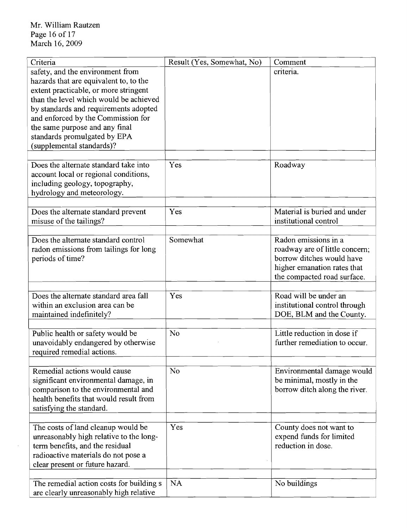$\mathcal{L}_{\mathcal{A}}$ 

| Criteria                                 | Result (Yes, Somewhat, No) | Comment                        |
|------------------------------------------|----------------------------|--------------------------------|
| safety, and the environment from         |                            | criteria.                      |
| hazards that are equivalent to, to the   |                            |                                |
| extent practicable, or more stringent    |                            |                                |
| than the level which would be achieved   |                            |                                |
| by standards and requirements adopted    |                            |                                |
| and enforced by the Commission for       |                            |                                |
| the same purpose and any final           |                            |                                |
| standards promulgated by EPA             |                            |                                |
| (supplemental standards)?                |                            |                                |
|                                          |                            |                                |
| Does the alternate standard take into    | Yes                        | Roadway                        |
| account local or regional conditions,    |                            |                                |
| including geology, topography,           |                            |                                |
| hydrology and meteorology.               |                            |                                |
|                                          |                            |                                |
| Does the alternate standard prevent      | Yes                        | Material is buried and under   |
| misuse of the tailings?                  |                            | institutional control          |
|                                          |                            |                                |
| Does the alternate standard control      | Somewhat                   | Radon emissions in a           |
| radon emissions from tailings for long   |                            | roadway are of little concern; |
| periods of time?                         |                            | borrow ditches would have      |
|                                          |                            | higher emanation rates that    |
|                                          |                            | the compacted road surface.    |
|                                          |                            |                                |
| Does the alternate standard area fall    | Yes                        | Road will be under an          |
| within an exclusion area can be          |                            | institutional control through  |
| maintained indefinitely?                 |                            | DOE, BLM and the County.       |
|                                          |                            |                                |
| Public health or safety would be         | No                         | Little reduction in dose if    |
| unavoidably endangered by otherwise      |                            | further remediation to occur.  |
| required remedial actions.               |                            |                                |
|                                          |                            |                                |
| Remedial actions would cause             | N <sub>o</sub>             | Environmental damage would     |
| significant environmental damage, in     |                            | be minimal, mostly in the      |
| comparison to the environmental and      |                            | borrow ditch along the river.  |
| health benefits that would result from   |                            |                                |
| satisfying the standard.                 |                            |                                |
|                                          |                            |                                |
| The costs of land cleanup would be       | Yes                        | County does not want to        |
| unreasonably high relative to the long-  |                            | expend funds for limited       |
| term benefits, and the residual          |                            | reduction in dose.             |
| radioactive materials do not pose a      |                            |                                |
| clear present or future hazard.          |                            |                                |
|                                          |                            |                                |
| The remedial action costs for building s | <b>NA</b>                  | No buildings                   |
|                                          |                            |                                |
| are clearly unreasonably high relative   |                            |                                |